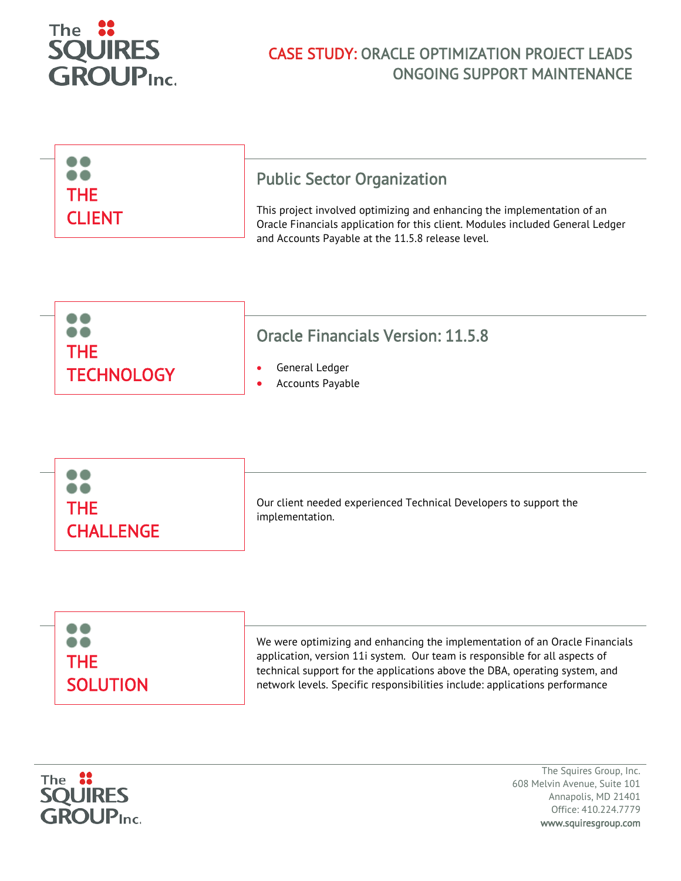

## CASE STUDY: ORACLE OPTIMIZATION PROJECT LEADS ONGOING SUPPORT MAINTENANCE

| <b>THE</b><br><b>CLIENT</b> | <b>Public Sector Organization</b><br>This project involved optimizing and enhancing the implementation of an                        |
|-----------------------------|-------------------------------------------------------------------------------------------------------------------------------------|
|                             | Oracle Financials application for this client. Modules included General Ledger<br>and Accounts Payable at the 11.5.8 release level. |







The Squires Group, Inc. 608 Melvin Avenue, Suite 101 Annapolis, MD 21401 Office: 410.224.7779 www.squiresgroup.com